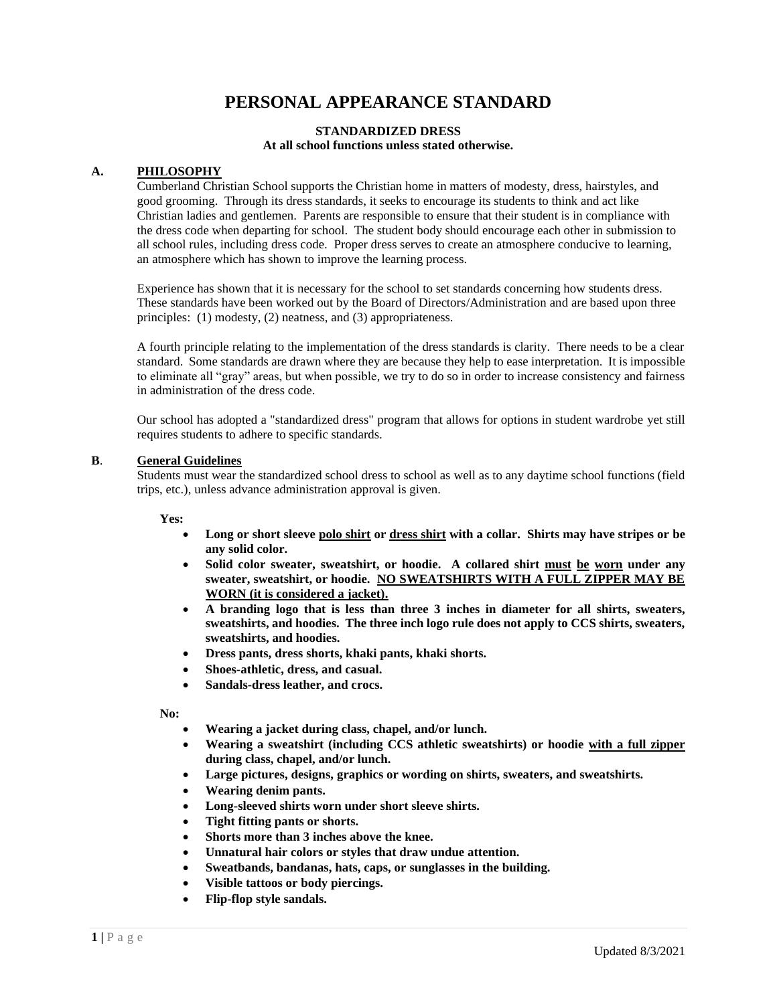# **PERSONAL APPEARANCE STANDARD**

#### **STANDARDIZED DRESS At all school functions unless stated otherwise.**

#### **A. PHILOSOPHY**

Cumberland Christian School supports the Christian home in matters of modesty, dress, hairstyles, and good grooming. Through its dress standards, it seeks to encourage its students to think and act like Christian ladies and gentlemen. Parents are responsible to ensure that their student is in compliance with the dress code when departing for school. The student body should encourage each other in submission to all school rules, including dress code. Proper dress serves to create an atmosphere conducive to learning, an atmosphere which has shown to improve the learning process.

Experience has shown that it is necessary for the school to set standards concerning how students dress. These standards have been worked out by the Board of Directors/Administration and are based upon three principles: (1) modesty, (2) neatness, and (3) appropriateness.

 A fourth principle relating to the implementation of the dress standards is clarity. There needs to be a clear standard. Some standards are drawn where they are because they help to ease interpretation. It is impossible to eliminate all "gray" areas, but when possible, we try to do so in order to increase consistency and fairness in administration of the dress code.

 Our school has adopted a "standardized dress" program that allows for options in student wardrobe yet still requires students to adhere to specific standards.

## **B**. **General Guidelines**

Students must wear the standardized school dress to school as well as to any daytime school functions (field trips, etc.), unless advance administration approval is given.

**Yes:**

- **Long or short sleeve polo shirt or dress shirt with a collar. Shirts may have stripes or be any solid color.**
- **Solid color sweater, sweatshirt, or hoodie. A collared shirt must be worn under any sweater, sweatshirt, or hoodie. NO SWEATSHIRTS WITH A FULL ZIPPER MAY BE WORN (it is considered a jacket).**
- **A branding logo that is less than three 3 inches in diameter for all shirts, sweaters, sweatshirts, and hoodies. The three inch logo rule does not apply to CCS shirts, sweaters, sweatshirts, and hoodies.**
- **Dress pants, dress shorts, khaki pants, khaki shorts.**
- **Shoes-athletic, dress, and casual.**
- **Sandals-dress leather, and crocs.**

**No:**

- **Wearing a jacket during class, chapel, and/or lunch.**
- **Wearing a sweatshirt (including CCS athletic sweatshirts) or hoodie with a full zipper during class, chapel, and/or lunch.**
- **Large pictures, designs, graphics or wording on shirts, sweaters, and sweatshirts.**
- **Wearing denim pants.**
- **Long-sleeved shirts worn under short sleeve shirts.**
- **Tight fitting pants or shorts.**
- **Shorts more than 3 inches above the knee.**
- **Unnatural hair colors or styles that draw undue attention.**
- **Sweatbands, bandanas, hats, caps, or sunglasses in the building.**
- **Visible tattoos or body piercings.**
- **Flip-flop style sandals.**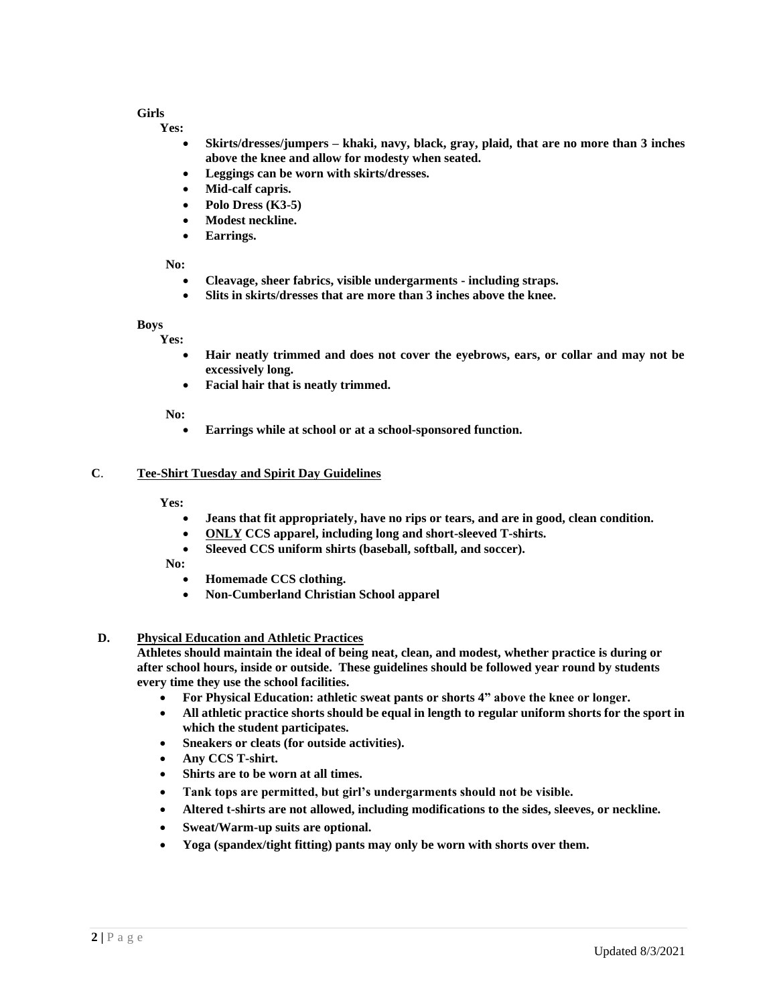# **Girls**

**Yes:**

- **Skirts/dresses/jumpers – khaki, navy, black, gray, plaid, that are no more than 3 inches above the knee and allow for modesty when seated.**
- **Leggings can be worn with skirts/dresses.**
- **Mid-calf capris.**
- **Polo Dress (K3-5)**
- **Modest neckline.**
- **Earrings.**

#### **No:**

- **Cleavage, sheer fabrics, visible undergarments - including straps.**
- **Slits in skirts/dresses that are more than 3 inches above the knee.**

#### **Boys**

**Yes:**

- **Hair neatly trimmed and does not cover the eyebrows, ears, or collar and may not be excessively long.**
- **Facial hair that is neatly trimmed.**

**No:**

• **Earrings while at school or at a school-sponsored function.**

### **C**. **Tee-Shirt Tuesday and Spirit Day Guidelines**

**Yes:**

- **Jeans that fit appropriately, have no rips or tears, and are in good, clean condition.**
- **ONLY CCS apparel, including long and short-sleeved T-shirts.**
- **Sleeved CCS uniform shirts (baseball, softball, and soccer).**

**No:**

- **Homemade CCS clothing.**
- **Non-Cumberland Christian School apparel**

### **D. Physical Education and Athletic Practices**

**Athletes should maintain the ideal of being neat, clean, and modest, whether practice is during or after school hours, inside or outside. These guidelines should be followed year round by students every time they use the school facilities.** 

- **For Physical Education: athletic sweat pants or shorts 4" above the knee or longer.**
- **All athletic practice shorts should be equal in length to regular uniform shorts for the sport in which the student participates.**
- **Sneakers or cleats (for outside activities).**
- **Any CCS T-shirt.**
- **Shirts are to be worn at all times.**
- **Tank tops are permitted, but girl's undergarments should not be visible.**
- **Altered t-shirts are not allowed, including modifications to the sides, sleeves, or neckline.**
- **Sweat/Warm-up suits are optional.**
- **Yoga (spandex/tight fitting) pants may only be worn with shorts over them.**